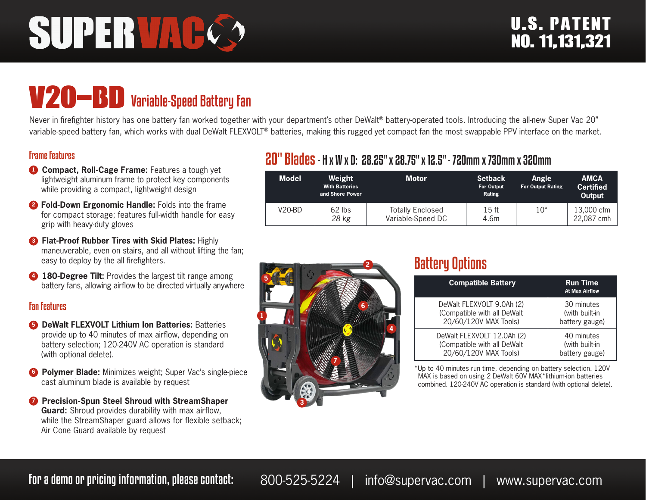# **SUPERVAC**

# V20-BD Variable-Speed Battery Fan

Never in firefighter history has one battery fan worked together with your department's other DeWalt® battery-operated tools. Introducing the all-new Super Vac 20" variable-speed battery fan, which works with dual DeWalt FLEXVOLT® batteries, making this rugged yet compact fan the most swappable PPV interface on the market.

#### Frame Features

- **1 Compact, Roll-Cage Frame:** Features a tough yet lightweight aluminum frame to protect key components while providing a compact, lightweight design
- **<sup>2</sup> Fold-Down Ergonomic Handle:** Folds into the frame for compact storage; features full-width handle for easy grip with heavy-duty gloves
- **8 Flat-Proof Rubber Tires with Skid Plates: Highly** maneuverable, even on stairs, and all without lifting the fan; easy to deploy by the all firefighters.
- **4 180-Degree Tilt:** Provides the largest tilt range among battery fans, allowing airflow to be directed virtually anywhere

#### Fan Features

- **6 DeWalt FLEXVOLT Lithium Ion Batteries: Batteries** provide up to 40 minutes of max airflow, depending on battery selection; 120-240V AC operation is standard (with optional delete).
- **6 Polymer Blade:** Minimizes weight; Super Vac's single-piece cast aluminum blade is available by request
- **<sup>7</sup>** Precision-Spun Steel Shroud with StreamShaper **Guard:** Shroud provides durability with max airflow, while the StreamShaper guard allows for flexible setback; Air Cone Guard available by request

## 20" Blades- H x W x D: 28.25" x 28.75" x 12.5" - 720mm x 730mm x 320mm

| <b>Model</b> | Weight<br><b>With Batteries</b><br>and Shore Power | <b>Motor</b>                                 | <b>Setback</b><br><b>For Output</b><br>Rating | <b>Angle</b><br><b>For Output Rating</b> | <b>AMCA</b><br><b>Certified</b><br>Output |
|--------------|----------------------------------------------------|----------------------------------------------|-----------------------------------------------|------------------------------------------|-------------------------------------------|
| V20-BD       | 62 lbs<br>28 kg                                    | <b>Totally Enclosed</b><br>Variable-Speed DC | 15 <sub>ft</sub><br>4.6m                      | $10^{\circ}$                             | 13,000 cfm<br>22.087 cmh                  |



# Battery Options

| <b>Compatible Battery</b>   | <b>Run Time</b><br><b>At Max Airflow</b> |
|-----------------------------|------------------------------------------|
| DeWalt FLEXVOLT 9.0Ah (2)   | 30 minutes                               |
| (Compatible with all DeWalt | (with built-in                           |
| 20/60/120V MAX Tools)       | battery gauge)                           |
| DeWalt FLEXVOLT 12.0Ah (2)  | 40 minutes                               |
| (Compatible with all DeWalt | (with built-in                           |
| 20/60/120V MAX Tools)       | battery gauge)                           |

\*Up to 40 minutes run time, depending on battery selection. 120V MAX is based on using 2 DeWalt 60V MAX\*lithium-ion batteries combined. 120-240V AC operation is standard (with optional delete).